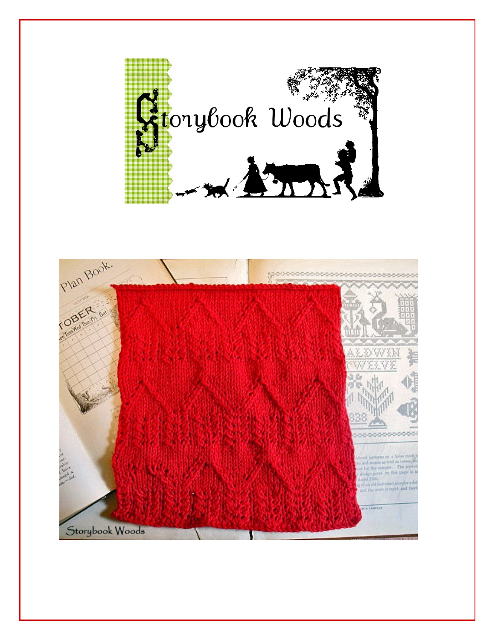